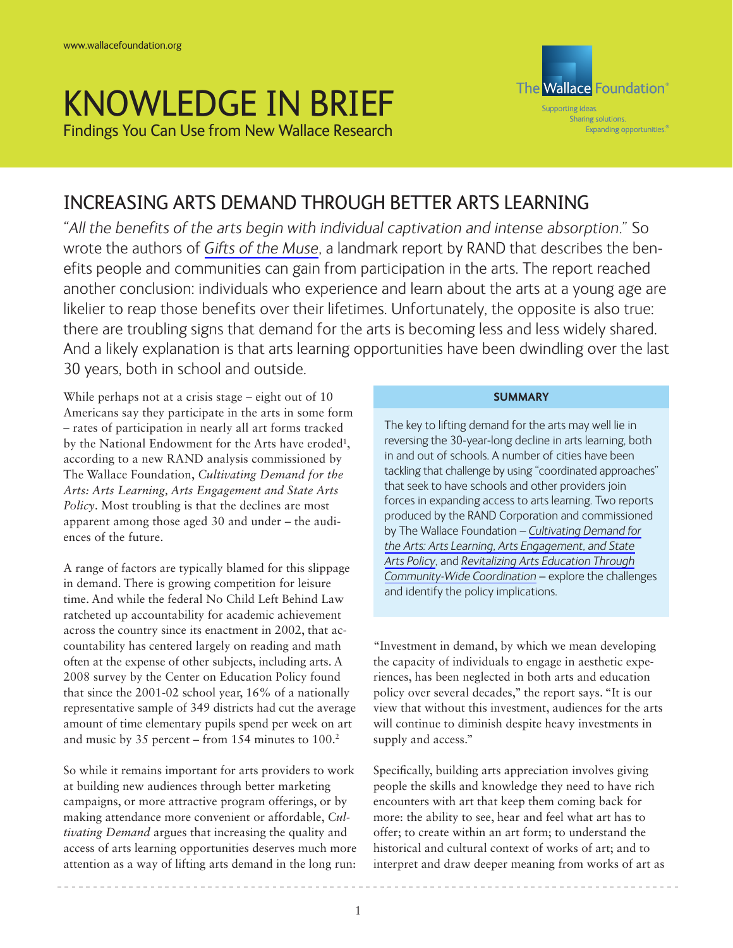# KNOWLEDGE IN BRIEF

Findings You Can Use from New Wallace Research



# INCREASING ARTS DEMAND THROUGH BETTER ARTS LEARNING

*"All the benefits of the arts begin with individual captivation and intense absorption."* So wrote the authors of *[Gifts of the Muse](http://www.wallacefoundation.org/KnowledgeCenter/KnowledgeTopics/CurrentAreasofFocus/ArtsParticipation/Pages/gifts-of-the-muse.aspx)*, a landmark report by RAND that describes the benefits people and communities can gain from participation in the arts. The report reached another conclusion: individuals who experience and learn about the arts at a young age are likelier to reap those benefits over their lifetimes. Unfortunately, the opposite is also true: there are troubling signs that demand for the arts is becoming less and less widely shared. And a likely explanation is that arts learning opportunities have been dwindling over the last 30 years, both in school and outside.

While perhaps not at a crisis stage – eight out of 10 Americans say they participate in the arts in some form – rates of participation in nearly all art forms tracked by the National Endowment for the Arts have eroded<sup>1</sup>, according to a new RAND analysis commissioned by The Wallace Foundation, *Cultivating Demand for the Arts: Arts Learning, Arts Engagement and State Arts Policy*. Most troubling is that the declines are most apparent among those aged 30 and under – the audiences of the future.

A range of factors are typically blamed for this slippage in demand. There is growing competition for leisure time. And while the federal No Child Left Behind Law ratcheted up accountability for academic achievement across the country since its enactment in 2002, that accountability has centered largely on reading and math often at the expense of other subjects, including arts. A 2008 survey by the Center on Education Policy found that since the 2001-02 school year, 16% of a nationally representative sample of 349 districts had cut the average amount of time elementary pupils spend per week on art and music by  $35$  percent – from 154 minutes to  $100<sup>2</sup>$ 

So while it remains important for arts providers to work at building new audiences through better marketing campaigns, or more attractive program offerings, or by making attendance more convenient or affordable, *Cultivating Demand* argues that increasing the quality and access of arts learning opportunities deserves much more attention as a way of lifting arts demand in the long run:

## **SUMMARY**

The key to lifting demand for the arts may well lie in reversing the 30-year-long decline in arts learning, both in and out of schools. A number of cities have been tackling that challenge by using "coordinated approaches" that seek to have schools and other providers join forces in expanding access to arts learning. Two reports produced by the RAND Corporation and commissioned by The Wallace Foundation – *[Cultivating Demand for](http://www.wallacefoundation.org/KnowledgeCenter/KnowledgeTopics/CurrentAreasofFocus/ArtsParticipation/Pages/cultivating-demand-for-the-arts.aspx)  [the Arts: Arts Learning, Arts Engagement, and State](http://www.wallacefoundation.org/KnowledgeCenter/KnowledgeTopics/CurrentAreasofFocus/ArtsParticipation/Pages/cultivating-demand-for-the-arts.aspx) [Arts Policy](http://www.wallacefoundation.org/KnowledgeCenter/KnowledgeTopics/CurrentAreasofFocus/ArtsParticipation/Pages/cultivating-demand-for-the-arts.aspx)*, and *[Revitalizing Arts Education Through](http://www.wallacefoundation.org/KnowledgeCenter/KnowledgeTopics/CurrentAreasofFocus/ArtsParticipation/Pages/revitalizing-arts-education.aspx) [Community-Wide Coordination](http://www.wallacefoundation.org/KnowledgeCenter/KnowledgeTopics/CurrentAreasofFocus/ArtsParticipation/Pages/revitalizing-arts-education.aspx)* – explore the challenges and identify the policy implications.

"Investment in demand, by which we mean developing the capacity of individuals to engage in aesthetic experiences, has been neglected in both arts and education policy over several decades," the report says. "It is our view that without this investment, audiences for the arts will continue to diminish despite heavy investments in supply and access."

Specifically, building arts appreciation involves giving people the skills and knowledge they need to have rich encounters with art that keep them coming back for more: the ability to see, hear and feel what art has to offer; to create within an art form; to understand the historical and cultural context of works of art; and to interpret and draw deeper meaning from works of art as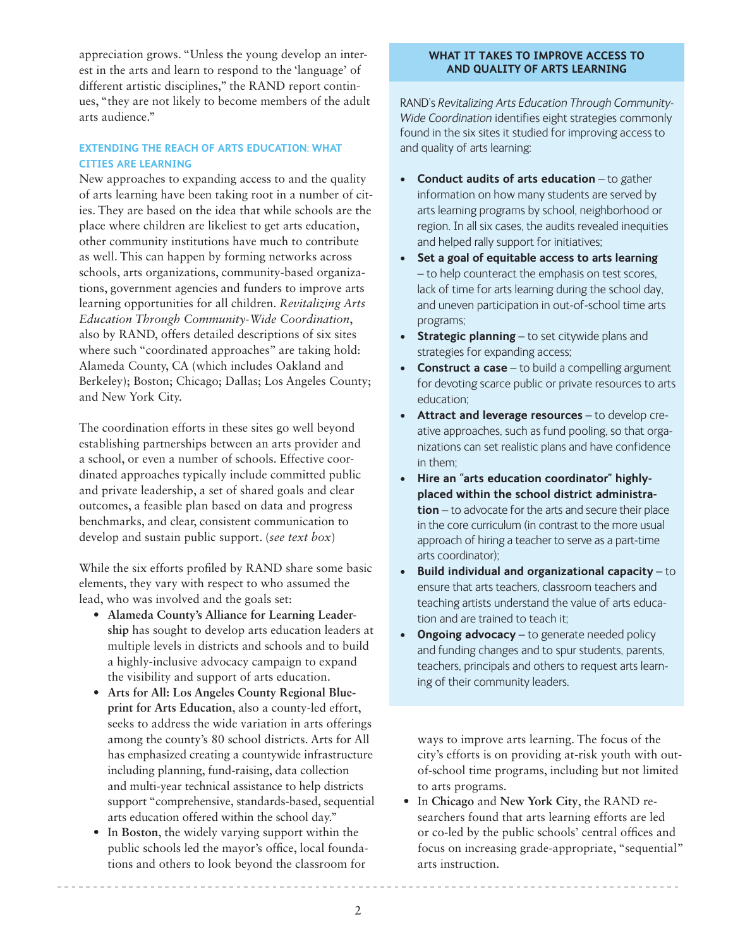appreciation grows. "Unless the young develop an interest in the arts and learn to respond to the 'language' of different artistic disciplines," the RAND report continues, "they are not likely to become members of the adult arts audience."

# **EXTENDING THE REACH OF ARTS EDUCATION: WHAT CITIES ARE LEARNING**

New approaches to expanding access to and the quality of arts learning have been taking root in a number of cities. They are based on the idea that while schools are the place where children are likeliest to get arts education, other community institutions have much to contribute as well. This can happen by forming networks across schools, arts organizations, community-based organizations, government agencies and funders to improve arts learning opportunities for all children. *Revitalizing Arts Education Through Community-Wide Coordination*, also by RAND, offers detailed descriptions of six sites where such "coordinated approaches" are taking hold: Alameda County, CA (which includes Oakland and Berkeley); Boston; Chicago; Dallas; Los Angeles County; and New York City.

The coordination efforts in these sites go well beyond establishing partnerships between an arts provider and a school, or even a number of schools. Effective coordinated approaches typically include committed public and private leadership, a set of shared goals and clear outcomes, a feasible plan based on data and progress benchmarks, and clear, consistent communication to develop and sustain public support. (*see text box*)

While the six efforts profiled by RAND share some basic elements, they vary with respect to who assumed the lead, who was involved and the goals set:

- **• Alameda County's Alliance for Learning Leadership** has sought to develop arts education leaders at multiple levels in districts and schools and to build a highly-inclusive advocacy campaign to expand the visibility and support of arts education.
- **• Arts for All: Los Angeles County Regional Blueprint for Arts Education**, also a county-led effort, seeks to address the wide variation in arts offerings among the county's 80 school districts. Arts for All has emphasized creating a countywide infrastructure including planning, fund-raising, data collection and multi-year technical assistance to help districts support "comprehensive, standards-based, sequential arts education offered within the school day."
- In Boston, the widely varying support within the public schools led the mayor's office, local foundations and others to look beyond the classroom for

#### **WHAT IT TAKES TO IMPROVE ACCESS TO AND QUALITY OF ARTS LEARNING**

RAND's *Revitalizing Arts Education Through Community-Wide Coordination* identifies eight strategies commonly found in the six sites it studied for improving access to and quality of arts learning:

- **• Conduct audits of arts education** to gather information on how many students are served by arts learning programs by school, neighborhood or region. In all six cases, the audits revealed inequities and helped rally support for initiatives;
- **• Set a goal of equitable access to arts learning** – to help counteract the emphasis on test scores, lack of time for arts learning during the school day, and uneven participation in out-of-school time arts programs;
- **• Strategic planning** to set citywide plans and strategies for expanding access;
- **• Construct a case** to build a compelling argument for devoting scarce public or private resources to arts education;
- **• Attract and leverage resources** to develop creative approaches, such as fund pooling, so that organizations can set realistic plans and have confidence in them;
- Hire an "arts education coordinator" highly**placed within the school district administration** – to advocate for the arts and secure their place in the core curriculum (in contrast to the more usual approach of hiring a teacher to serve as a part-time arts coordinator);
- **Build individual and organizational capacity** to ensure that arts teachers, classroom teachers and teaching artists understand the value of arts education and are trained to teach it;
- **Ongoing advocacy** to generate needed policy and funding changes and to spur students, parents, teachers, principals and others to request arts learning of their community leaders.

ways to improve arts learning. The focus of the city's efforts is on providing at-risk youth with outof-school time programs, including but not limited to arts programs.

• In **Chicago** and **New York City**, the RAND researchers found that arts learning efforts are led or co-led by the public schools' central offices and focus on increasing grade-appropriate, "sequential" arts instruction.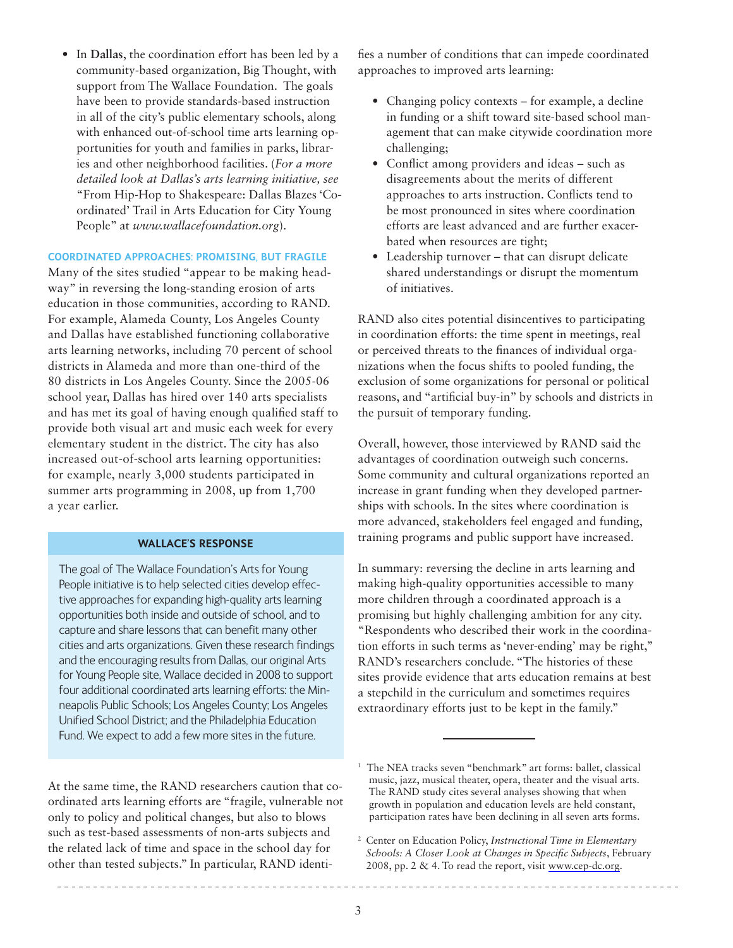• In **Dallas**, the coordination effort has been led by a community-based organization, Big Thought, with support from The Wallace Foundation. The goals have been to provide standards-based instruction in all of the city's public elementary schools, along with enhanced out-of-school time arts learning opportunities for youth and families in parks, libraries and other neighborhood facilities. (*For a more detailed look at Dallas's arts learning initiative, see* "From Hip-Hop to Shakespeare: Dallas Blazes 'Coordinated' Trail in Arts Education for City Young People" at *www.wallacefoundation.org*).

### **COORDINATED APPROACHES: PROMISING, BUT FRAGILE**

Many of the sites studied "appear to be making headway" in reversing the long-standing erosion of arts education in those communities, according to RAND. For example, Alameda County, Los Angeles County and Dallas have established functioning collaborative arts learning networks, including 70 percent of school districts in Alameda and more than one-third of the 80 districts in Los Angeles County. Since the 2005-06 school year, Dallas has hired over 140 arts specialists and has met its goal of having enough qualified staff to provide both visual art and music each week for every elementary student in the district. The city has also increased out-of-school arts learning opportunities: for example, nearly 3,000 students participated in summer arts programming in 2008, up from 1,700 a year earlier.

#### **WALLACE'S RESPONSE**

The goal of The Wallace Foundation's Arts for Young People initiative is to help selected cities develop effective approaches for expanding high-quality arts learning opportunities both inside and outside of school, and to capture and share lessons that can benefit many other cities and arts organizations. Given these research findings and the encouraging results from Dallas, our original Arts for Young People site, Wallace decided in 2008 to support four additional coordinated arts learning efforts: the Minneapolis Public Schools; Los Angeles County; Los Angeles Unified School District; and the Philadelphia Education Fund. We expect to add a few more sites in the future.

At the same time, the RAND researchers caution that coordinated arts learning efforts are "fragile, vulnerable not only to policy and political changes, but also to blows such as test-based assessments of non-arts subjects and the related lack of time and space in the school day for other than tested subjects." In particular, RAND identifies a number of conditions that can impede coordinated approaches to improved arts learning:

- Changing policy contexts for example, a decline in funding or a shift toward site-based school management that can make citywide coordination more challenging;
- Conflict among providers and ideas such as disagreements about the merits of different approaches to arts instruction. Conflicts tend to be most pronounced in sites where coordination efforts are least advanced and are further exacerbated when resources are tight;
- Leadership turnover that can disrupt delicate shared understandings or disrupt the momentum of initiatives.

RAND also cites potential disincentives to participating in coordination efforts: the time spent in meetings, real or perceived threats to the finances of individual organizations when the focus shifts to pooled funding, the exclusion of some organizations for personal or political reasons, and "artificial buy-in" by schools and districts in the pursuit of temporary funding.

Overall, however, those interviewed by RAND said the advantages of coordination outweigh such concerns. Some community and cultural organizations reported an increase in grant funding when they developed partnerships with schools. In the sites where coordination is more advanced, stakeholders feel engaged and funding, training programs and public support have increased.

In summary: reversing the decline in arts learning and making high-quality opportunities accessible to many more children through a coordinated approach is a promising but highly challenging ambition for any city. "Respondents who described their work in the coordination efforts in such terms as 'never-ending' may be right," RAND's researchers conclude. "The histories of these sites provide evidence that arts education remains at best a stepchild in the curriculum and sometimes requires extraordinary efforts just to be kept in the family."

<sup>1</sup> The NEA tracks seven "benchmark" art forms: ballet, classical music, jazz, musical theater, opera, theater and the visual arts. The RAND study cites several analyses showing that when growth in population and education levels are held constant, participation rates have been declining in all seven arts forms.

<sup>2</sup> Center on Education Policy, *Instructional Time in Elementary Schools: A Closer Look at Changes in Specific Subjects*, February 2008, pp. 2 & 4. To read the report, visit [www.cep-dc.org.](www.cep-dc.org)